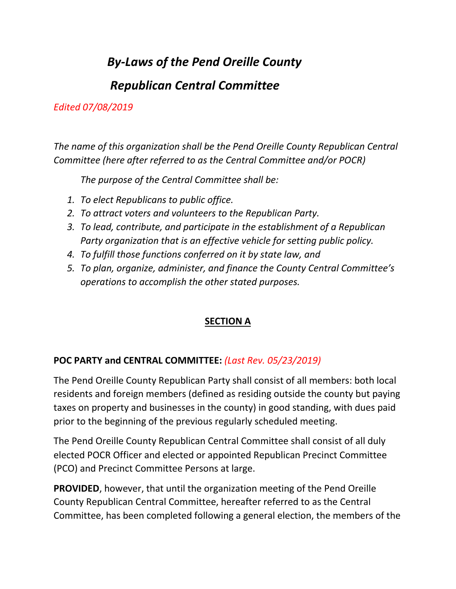# *By-Laws of the Pend Oreille County*

# *Republican Central Committee*

## *Edited 07/08/2019*

*The name of this organization shall be the Pend Oreille County Republican Central Committee (here after referred to as the Central Committee and/or POCR)*

*The purpose of the Central Committee shall be:*

- *1. To elect Republicans to public office.*
- *2. To attract voters and volunteers to the Republican Party.*
- *3. To lead, contribute, and participate in the establishment of a Republican Party organization that is an effective vehicle for setting public policy.*
- *4. To fulfill those functions conferred on it by state law, and*
- *5. To plan, organize, administer, and finance the County Central Committee's operations to accomplish the other stated purposes.*

# **SECTION A**

# **POC PARTY and CENTRAL COMMITTEE:** *(Last Rev. 05/23/2019)*

The Pend Oreille County Republican Party shall consist of all members: both local residents and foreign members (defined as residing outside the county but paying taxes on property and businesses in the county) in good standing, with dues paid prior to the beginning of the previous regularly scheduled meeting.

The Pend Oreille County Republican Central Committee shall consist of all duly elected POCR Officer and elected or appointed Republican Precinct Committee (PCO) and Precinct Committee Persons at large.

**PROVIDED**, however, that until the organization meeting of the Pend Oreille County Republican Central Committee, hereafter referred to as the Central Committee, has been completed following a general election, the members of the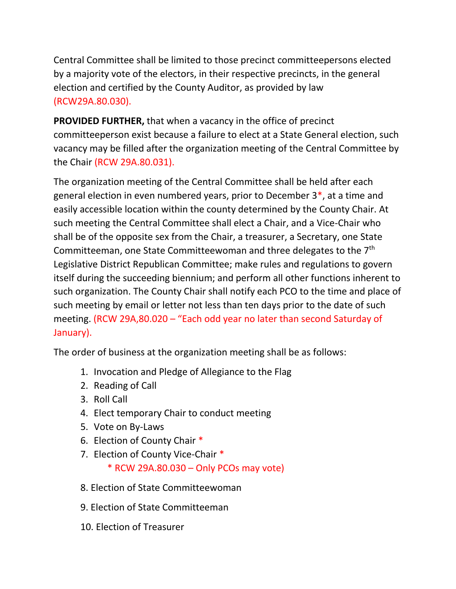Central Committee shall be limited to those precinct committeepersons elected by a majority vote of the electors, in their respective precincts, in the general election and certified by the County Auditor, as provided by law (RCW29A.80.030).

**PROVIDED FURTHER,** that when a vacancy in the office of precinct committeeperson exist because a failure to elect at a State General election, such vacancy may be filled after the organization meeting of the Central Committee by the Chair (RCW 29A.80.031).

The organization meeting of the Central Committee shall be held after each general election in even numbered years, prior to December 3\*, at a time and easily accessible location within the county determined by the County Chair. At such meeting the Central Committee shall elect a Chair, and a Vice-Chair who shall be of the opposite sex from the Chair, a treasurer, a Secretary, one State Committeeman, one State Committeewoman and three delegates to the 7<sup>th</sup> Legislative District Republican Committee; make rules and regulations to govern itself during the succeeding biennium; and perform all other functions inherent to such organization. The County Chair shall notify each PCO to the time and place of such meeting by email or letter not less than ten days prior to the date of such meeting. (RCW 29A,80.020 – "Each odd year no later than second Saturday of January).

The order of business at the organization meeting shall be as follows:

- 1. Invocation and Pledge of Allegiance to the Flag
- 2. Reading of Call
- 3. Roll Call
- 4. Elect temporary Chair to conduct meeting
- 5. Vote on By-Laws
- 6. Election of County Chair \*
- 7. Election of County Vice-Chair \*
	- \* RCW 29A.80.030 Only PCOs may vote)
- 8. Election of State Committeewoman
- 9. Election of State Committeeman
- 10. Election of Treasurer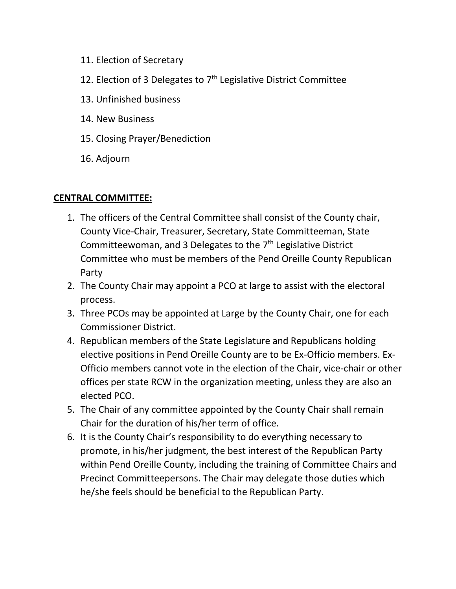- 11. Election of Secretary
- 12. Election of 3 Delegates to  $7<sup>th</sup>$  Legislative District Committee
- 13. Unfinished business
- 14. New Business
- 15. Closing Prayer/Benediction
- 16. Adjourn

# **CENTRAL COMMITTEE:**

- 1. The officers of the Central Committee shall consist of the County chair, County Vice-Chair, Treasurer, Secretary, State Committeeman, State Committeewoman, and 3 Delegates to the 7<sup>th</sup> Legislative District Committee who must be members of the Pend Oreille County Republican Party
- 2. The County Chair may appoint a PCO at large to assist with the electoral process.
- 3. Three PCOs may be appointed at Large by the County Chair, one for each Commissioner District.
- 4. Republican members of the State Legislature and Republicans holding elective positions in Pend Oreille County are to be Ex-Officio members. Ex-Officio members cannot vote in the election of the Chair, vice-chair or other offices per state RCW in the organization meeting, unless they are also an elected PCO.
- 5. The Chair of any committee appointed by the County Chair shall remain Chair for the duration of his/her term of office.
- 6. It is the County Chair's responsibility to do everything necessary to promote, in his/her judgment, the best interest of the Republican Party within Pend Oreille County, including the training of Committee Chairs and Precinct Committeepersons. The Chair may delegate those duties which he/she feels should be beneficial to the Republican Party.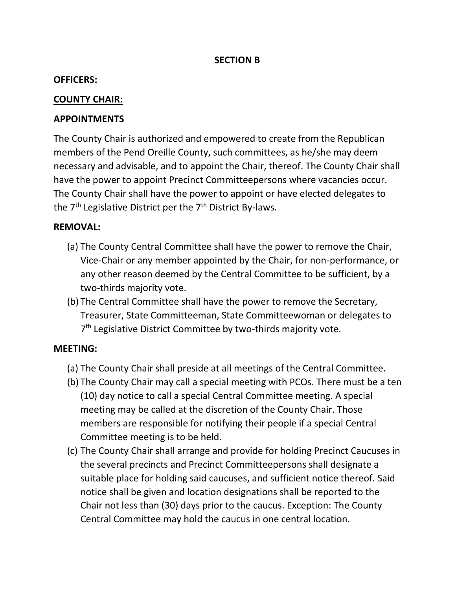### **SECTION B**

#### **OFFICERS:**

### **COUNTY CHAIR:**

### **APPOINTMENTS**

The County Chair is authorized and empowered to create from the Republican members of the Pend Oreille County, such committees, as he/she may deem necessary and advisable, and to appoint the Chair, thereof. The County Chair shall have the power to appoint Precinct Committeepersons where vacancies occur. The County Chair shall have the power to appoint or have elected delegates to the 7<sup>th</sup> Legislative District per the 7<sup>th</sup> District By-laws.

#### **REMOVAL:**

- (a) The County Central Committee shall have the power to remove the Chair, Vice-Chair or any member appointed by the Chair, for non-performance, or any other reason deemed by the Central Committee to be sufficient, by a two-thirds majority vote.
- (b) The Central Committee shall have the power to remove the Secretary, Treasurer, State Committeeman, State Committeewoman or delegates to 7<sup>th</sup> Legislative District Committee by two-thirds majority vote.

#### **MEETING:**

- (a) The County Chair shall preside at all meetings of the Central Committee.
- (b) The County Chair may call a special meeting with PCOs. There must be a ten (10) day notice to call a special Central Committee meeting. A special meeting may be called at the discretion of the County Chair. Those members are responsible for notifying their people if a special Central Committee meeting is to be held.
- (c) The County Chair shall arrange and provide for holding Precinct Caucuses in the several precincts and Precinct Committeepersons shall designate a suitable place for holding said caucuses, and sufficient notice thereof. Said notice shall be given and location designations shall be reported to the Chair not less than (30) days prior to the caucus. Exception: The County Central Committee may hold the caucus in one central location.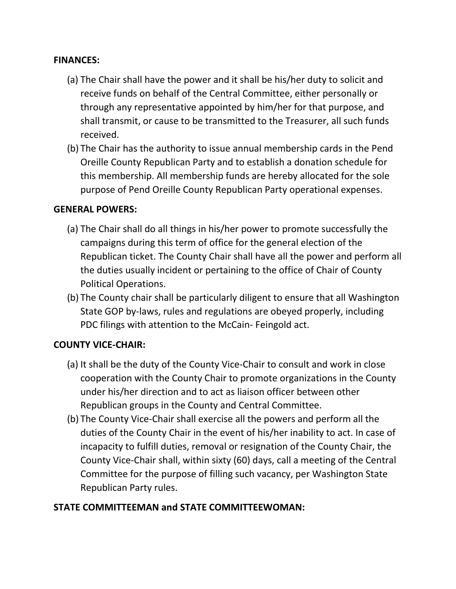#### **FINANCES:**

- (a) The Chair shall have the power and it shall be his/her duty to solicit and receive funds on behalf of the Central Committee, either personally or through any representative appointed by him/her for that purpose, and shall transmit, or cause to be transmitted to the Treasurer, all such funds received.
- (b) The Chair has the authority to issue annual membership cards in the Pend Oreille County Republican Party and to establish a donation schedule for this membership. All membership funds are hereby allocated for the sole purpose of Pend Oreille County Republican Party operational expenses.

#### **GENERAL POWERS:**

- (a) The Chair shall do all things in his/her power to promote successfully the campaigns during this term of office for the general election of the Republican ticket. The County Chair shall have all the power and perform all the duties usually incident or pertaining to the office of Chair of County Political Operations.
- (b) The County chair shall be particularly diligent to ensure that all Washington State GOP by-laws, rules and regulations are obeyed properly, including PDC filings with attention to the McCain- Feingold act.

#### **COUNTY VICE-CHAIR:**

- (a) It shall be the duty of the County Vice-Chair to consult and work in close cooperation with the County Chair to promote organizations in the County under his/her direction and to act as liaison officer between other Republican groups in the County and Central Committee.
- (b) The County Vice-Chair shall exercise all the powers and perform all the duties of the County Chair in the event of his/her inability to act. In case of incapacity to fulfill duties, removal or resignation of the County Chair, the County Vice-Chair shall, within sixty (60) days, call a meeting of the Central Committee for the purpose of filling such vacancy, per Washington State Republican Party rules.

#### **STATE COMMITTEEMAN and STATE COMMITTEEWOMAN:**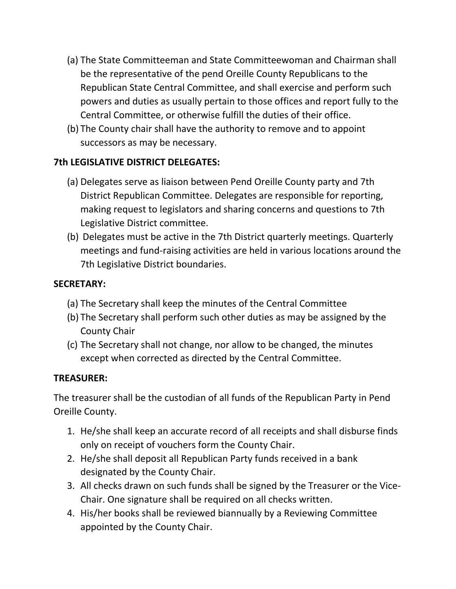- (a) The State Committeeman and State Committeewoman and Chairman shall be the representative of the pend Oreille County Republicans to the Republican State Central Committee, and shall exercise and perform such powers and duties as usually pertain to those offices and report fully to the Central Committee, or otherwise fulfill the duties of their office.
- (b) The County chair shall have the authority to remove and to appoint successors as may be necessary.

# **7th LEGISLATIVE DISTRICT DELEGATES:**

- (a) Delegates serve as liaison between Pend Oreille County party and 7th District Republican Committee. Delegates are responsible for reporting, making request to legislators and sharing concerns and questions to 7th Legislative District committee.
- (b) Delegates must be active in the 7th District quarterly meetings. Quarterly meetings and fund-raising activities are held in various locations around the 7th Legislative District boundaries.

## **SECRETARY:**

- (a) The Secretary shall keep the minutes of the Central Committee
- (b) The Secretary shall perform such other duties as may be assigned by the County Chair
- (c) The Secretary shall not change, nor allow to be changed, the minutes except when corrected as directed by the Central Committee.

## **TREASURER:**

The treasurer shall be the custodian of all funds of the Republican Party in Pend Oreille County.

- 1. He/she shall keep an accurate record of all receipts and shall disburse finds only on receipt of vouchers form the County Chair.
- 2. He/she shall deposit all Republican Party funds received in a bank designated by the County Chair.
- 3. All checks drawn on such funds shall be signed by the Treasurer or the Vice-Chair. One signature shall be required on all checks written.
- 4. His/her books shall be reviewed biannually by a Reviewing Committee appointed by the County Chair.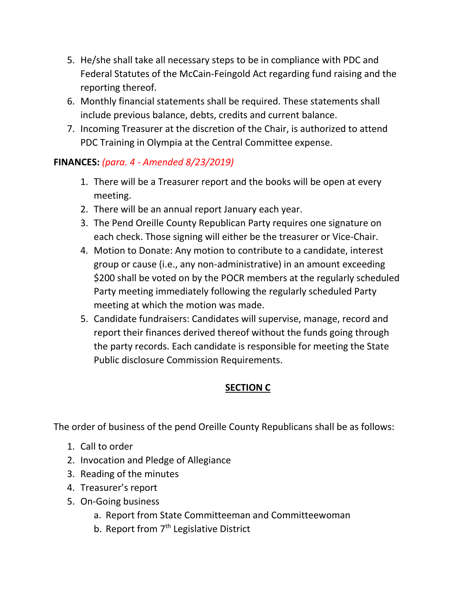- 5. He/she shall take all necessary steps to be in compliance with PDC and Federal Statutes of the McCain-Feingold Act regarding fund raising and the reporting thereof.
- 6. Monthly financial statements shall be required. These statements shall include previous balance, debts, credits and current balance.
- 7. Incoming Treasurer at the discretion of the Chair, is authorized to attend PDC Training in Olympia at the Central Committee expense.

# **FINANCES:** *(para. 4 - Amended 8/23/2019)*

- 1. There will be a Treasurer report and the books will be open at every meeting.
- 2. There will be an annual report January each year.
- 3. The Pend Oreille County Republican Party requires one signature on each check. Those signing will either be the treasurer or Vice-Chair.
- 4. Motion to Donate: Any motion to contribute to a candidate, interest group or cause (i.e., any non-administrative) in an amount exceeding \$200 shall be voted on by the POCR members at the regularly scheduled Party meeting immediately following the regularly scheduled Party meeting at which the motion was made.
- 5. Candidate fundraisers: Candidates will supervise, manage, record and report their finances derived thereof without the funds going through the party records. Each candidate is responsible for meeting the State Public disclosure Commission Requirements.

# **SECTION C**

The order of business of the pend Oreille County Republicans shall be as follows:

- 1. Call to order
- 2. Invocation and Pledge of Allegiance
- 3. Reading of the minutes
- 4. Treasurer's report
- 5. On-Going business
	- a. Report from State Committeeman and Committeewoman
	- b. Report from 7<sup>th</sup> Legislative District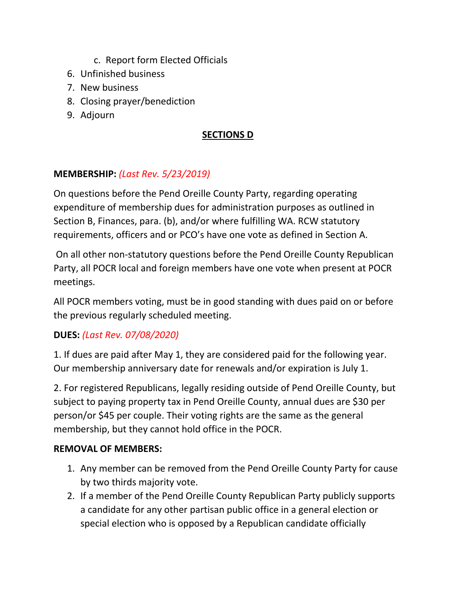- c. Report form Elected Officials
- 6. Unfinished business
- 7. New business
- 8. Closing prayer/benediction
- 9. Adjourn

# **SECTIONS D**

# **MEMBERSHIP:** *(Last Rev. 5/23/2019)*

On questions before the Pend Oreille County Party, regarding operating expenditure of membership dues for administration purposes as outlined in Section B, Finances, para. (b), and/or where fulfilling WA. RCW statutory requirements, officers and or PCO's have one vote as defined in Section A.

On all other non-statutory questions before the Pend Oreille County Republican Party, all POCR local and foreign members have one vote when present at POCR meetings.

All POCR members voting, must be in good standing with dues paid on or before the previous regularly scheduled meeting.

# **DUES:** *(Last Rev. 07/08/2020)*

1. If dues are paid after May 1, they are considered paid for the following year. Our membership anniversary date for renewals and/or expiration is July 1.

2. For registered Republicans, legally residing outside of Pend Oreille County, but subject to paying property tax in Pend Oreille County, annual dues are \$30 per person/or \$45 per couple. Their voting rights are the same as the general membership, but they cannot hold office in the POCR.

## **REMOVAL OF MEMBERS:**

- 1. Any member can be removed from the Pend Oreille County Party for cause by two thirds majority vote.
- 2. If a member of the Pend Oreille County Republican Party publicly supports a candidate for any other partisan public office in a general election or special election who is opposed by a Republican candidate officially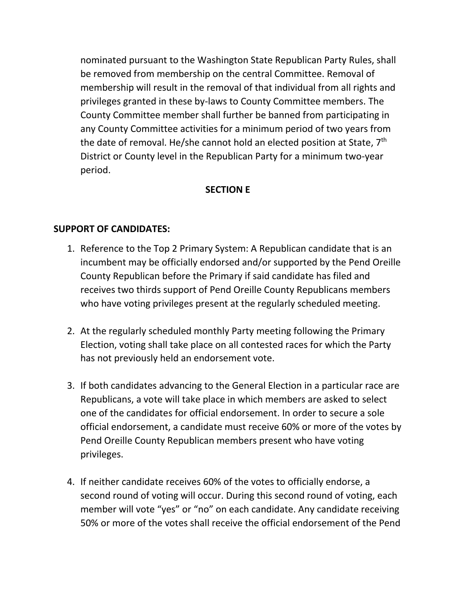nominated pursuant to the Washington State Republican Party Rules, shall be removed from membership on the central Committee. Removal of membership will result in the removal of that individual from all rights and privileges granted in these by-laws to County Committee members. The County Committee member shall further be banned from participating in any County Committee activities for a minimum period of two years from the date of removal. He/she cannot hold an elected position at State,  $7<sup>th</sup>$ District or County level in the Republican Party for a minimum two-year period.

#### **SECTION E**

### **SUPPORT OF CANDIDATES:**

- 1. Reference to the Top 2 Primary System: A Republican candidate that is an incumbent may be officially endorsed and/or supported by the Pend Oreille County Republican before the Primary if said candidate has filed and receives two thirds support of Pend Oreille County Republicans members who have voting privileges present at the regularly scheduled meeting.
- 2. At the regularly scheduled monthly Party meeting following the Primary Election, voting shall take place on all contested races for which the Party has not previously held an endorsement vote.
- 3. If both candidates advancing to the General Election in a particular race are Republicans, a vote will take place in which members are asked to select one of the candidates for official endorsement. In order to secure a sole official endorsement, a candidate must receive 60% or more of the votes by Pend Oreille County Republican members present who have voting privileges.
- 4. If neither candidate receives 60% of the votes to officially endorse, a second round of voting will occur. During this second round of voting, each member will vote "yes" or "no" on each candidate. Any candidate receiving 50% or more of the votes shall receive the official endorsement of the Pend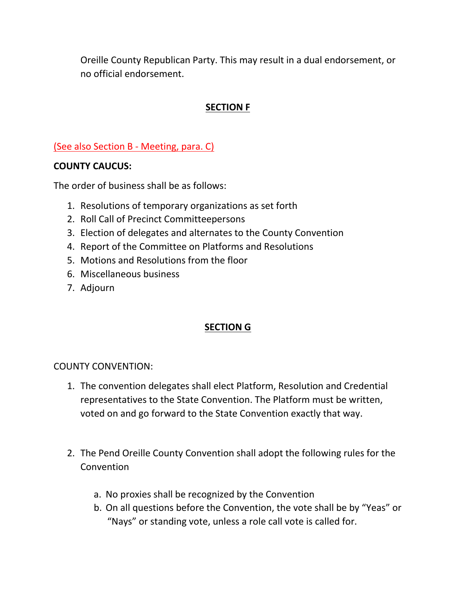Oreille County Republican Party. This may result in a dual endorsement, or no official endorsement.

# **SECTION F**

### (See also Section B - Meeting, para. C)

#### **COUNTY CAUCUS:**

The order of business shall be as follows:

- 1. Resolutions of temporary organizations as set forth
- 2. Roll Call of Precinct Committeepersons
- 3. Election of delegates and alternates to the County Convention
- 4. Report of the Committee on Platforms and Resolutions
- 5. Motions and Resolutions from the floor
- 6. Miscellaneous business
- 7. Adjourn

## **SECTION G**

#### COUNTY CONVENTION:

- 1. The convention delegates shall elect Platform, Resolution and Credential representatives to the State Convention. The Platform must be written, voted on and go forward to the State Convention exactly that way.
- 2. The Pend Oreille County Convention shall adopt the following rules for the Convention
	- a. No proxies shall be recognized by the Convention
	- b. On all questions before the Convention, the vote shall be by "Yeas" or "Nays" or standing vote, unless a role call vote is called for.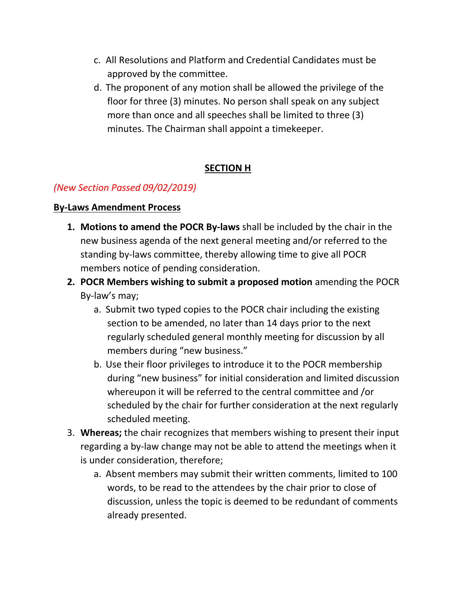- c. All Resolutions and Platform and Credential Candidates must be approved by the committee.
- d. The proponent of any motion shall be allowed the privilege of the floor for three (3) minutes. No person shall speak on any subject more than once and all speeches shall be limited to three (3) minutes. The Chairman shall appoint a timekeeper.

# **SECTION H**

# *(New Section Passed 09/02/2019)*

### **By-Laws Amendment Process**

- **1. Motions to amend the POCR By-laws** shall be included by the chair in the new business agenda of the next general meeting and/or referred to the standing by-laws committee, thereby allowing time to give all POCR members notice of pending consideration.
- **2. POCR Members wishing to submit a proposed motion** amending the POCR By-law's may;
	- a. Submit two typed copies to the POCR chair including the existing section to be amended, no later than 14 days prior to the next regularly scheduled general monthly meeting for discussion by all members during "new business."
	- b. Use their floor privileges to introduce it to the POCR membership during "new business" for initial consideration and limited discussion whereupon it will be referred to the central committee and /or scheduled by the chair for further consideration at the next regularly scheduled meeting.
- 3. **Whereas;** the chair recognizes that members wishing to present their input regarding a by-law change may not be able to attend the meetings when it is under consideration, therefore;
	- a. Absent members may submit their written comments, limited to 100 words, to be read to the attendees by the chair prior to close of discussion, unless the topic is deemed to be redundant of comments already presented.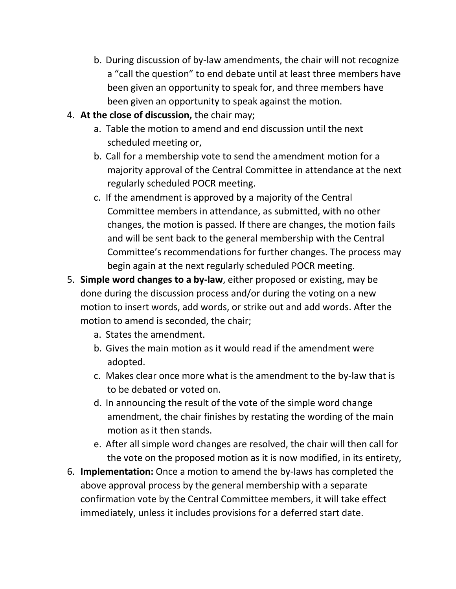- b. During discussion of by-law amendments, the chair will not recognize a "call the question" to end debate until at least three members have been given an opportunity to speak for, and three members have been given an opportunity to speak against the motion.
- 4. **At the close of discussion,** the chair may;
	- a. Table the motion to amend and end discussion until the next scheduled meeting or,
	- b. Call for a membership vote to send the amendment motion for a majority approval of the Central Committee in attendance at the next regularly scheduled POCR meeting.
	- c. If the amendment is approved by a majority of the Central Committee members in attendance, as submitted, with no other changes, the motion is passed. If there are changes, the motion fails and will be sent back to the general membership with the Central Committee's recommendations for further changes. The process may begin again at the next regularly scheduled POCR meeting.
- 5. **Simple word changes to a by-law**, either proposed or existing, may be done during the discussion process and/or during the voting on a new motion to insert words, add words, or strike out and add words. After the motion to amend is seconded, the chair;
	- a. States the amendment.
	- b. Gives the main motion as it would read if the amendment were adopted.
	- c. Makes clear once more what is the amendment to the by-law that is to be debated or voted on.
	- d. In announcing the result of the vote of the simple word change amendment, the chair finishes by restating the wording of the main motion as it then stands.
	- e. After all simple word changes are resolved, the chair will then call for the vote on the proposed motion as it is now modified, in its entirety,
- 6. **Implementation:** Once a motion to amend the by-laws has completed the above approval process by the general membership with a separate confirmation vote by the Central Committee members, it will take effect immediately, unless it includes provisions for a deferred start date.